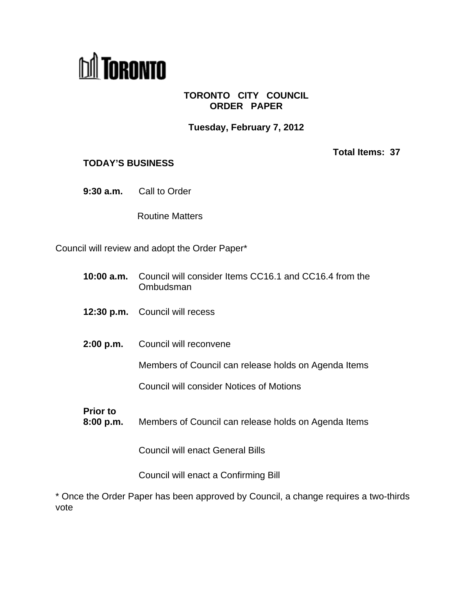

## **TORONTO CITY COUNCIL ORDER PAPER**

**Tuesday, February 7, 2012**

## **TODAY'S BUSINESS**

**Total Items: 37**

**9:30 a.m.** Call to Order

Routine Matters **Executive Service Service Service Service Service Service Service Service Service Service Service Service Service Service Service Service Service Service Service Service Service Service Service Service Ser** 

Council will review and adopt the Order Paper\*

- **10:00 a.m.** Council will consider Items CC16.1 and CC16.4 from the Ombudsman
- **12:30 p.m.** Council will recess
- **2:00 p.m.** Council will reconvene

Members of Council can release holds on Agenda Items

Council will consider Notices of Motions

**Prior to**

**8:00 p.m.** Members of Council can release holds on Agenda Items

Council will enact General Bills

Council will enact a Confirming Bill

\* Once the Order Paper has been approved by Council, a change requires a two-thirds vote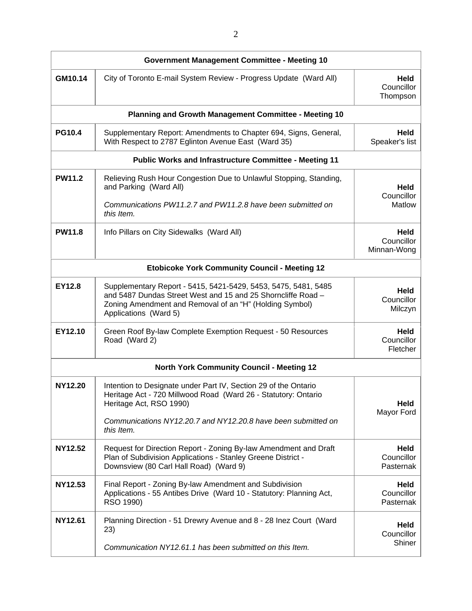|                | <b>Government Management Committee - Meeting 10</b>                                                                                                                                                                                         |                                   |
|----------------|---------------------------------------------------------------------------------------------------------------------------------------------------------------------------------------------------------------------------------------------|-----------------------------------|
| GM10.14        | City of Toronto E-mail System Review - Progress Update (Ward All)                                                                                                                                                                           | Held<br>Councillor<br>Thompson    |
|                | Planning and Growth Management Committee - Meeting 10                                                                                                                                                                                       |                                   |
| <b>PG10.4</b>  | Supplementary Report: Amendments to Chapter 694, Signs, General,<br>With Respect to 2787 Eglinton Avenue East (Ward 35)                                                                                                                     | Held<br>Speaker's list            |
|                | <b>Public Works and Infrastructure Committee - Meeting 11</b>                                                                                                                                                                               |                                   |
| <b>PW11.2</b>  | Relieving Rush Hour Congestion Due to Unlawful Stopping, Standing,<br>and Parking (Ward All)<br>Communications PW11.2.7 and PW11.2.8 have been submitted on<br>this Item.                                                                   | Held<br>Councillor<br>Matlow      |
| <b>PW11.8</b>  | Info Pillars on City Sidewalks (Ward All)                                                                                                                                                                                                   | Held<br>Councillor<br>Minnan-Wong |
|                | <b>Etobicoke York Community Council - Meeting 12</b>                                                                                                                                                                                        |                                   |
| EY12.8         | Supplementary Report - 5415, 5421-5429, 5453, 5475, 5481, 5485<br>and 5487 Dundas Street West and 15 and 25 Shorncliffe Road -<br>Zoning Amendment and Removal of an "H" (Holding Symbol)<br>Applications (Ward 5)                          | Held<br>Councillor<br>Milczyn     |
| EY12.10        | Green Roof By-law Complete Exemption Request - 50 Resources<br>Road (Ward 2)                                                                                                                                                                | Held<br>Councillor<br>Fletcher    |
|                | <b>North York Community Council - Meeting 12</b>                                                                                                                                                                                            |                                   |
| <b>NY12.20</b> | Intention to Designate under Part IV, Section 29 of the Ontario<br>Heritage Act - 720 Millwood Road (Ward 26 - Statutory: Ontario<br>Heritage Act, RSO 1990)<br>Communications NY12.20.7 and NY12.20.8 have been submitted on<br>this Item. | Held<br>Mayor Ford                |
| <b>NY12.52</b> | Request for Direction Report - Zoning By-law Amendment and Draft<br>Plan of Subdivision Applications - Stanley Greene District -<br>Downsview (80 Carl Hall Road) (Ward 9)                                                                  | Held<br>Councillor<br>Pasternak   |
| NY12.53        | Final Report - Zoning By-law Amendment and Subdivision<br>Applications - 55 Antibes Drive (Ward 10 - Statutory: Planning Act,<br>RSO 1990)                                                                                                  | Held<br>Councillor<br>Pasternak   |
| NY12.61        | Planning Direction - 51 Drewry Avenue and 8 - 28 Inez Court (Ward<br>23)<br>Communication NY12.61.1 has been submitted on this Item.                                                                                                        | Held<br>Councillor<br>Shiner      |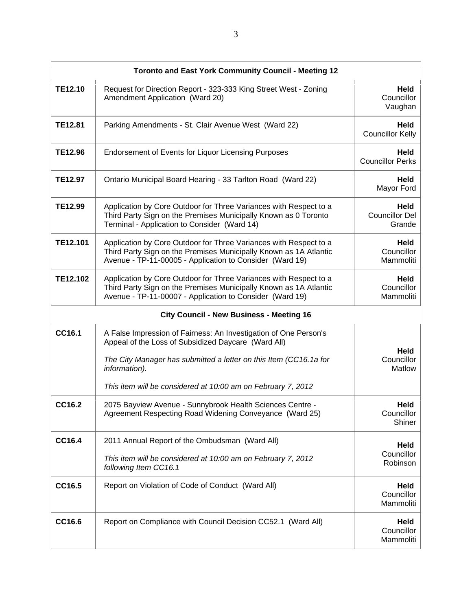| Toronto and East York Community Council - Meeting 12 |                                                                                                                                                                                                                                                                               |                                         |  |
|------------------------------------------------------|-------------------------------------------------------------------------------------------------------------------------------------------------------------------------------------------------------------------------------------------------------------------------------|-----------------------------------------|--|
| <b>TE12.10</b>                                       | Request for Direction Report - 323-333 King Street West - Zoning<br>Amendment Application (Ward 20)                                                                                                                                                                           | Held<br>Councillor<br>Vaughan           |  |
| <b>TE12.81</b>                                       | Parking Amendments - St. Clair Avenue West (Ward 22)                                                                                                                                                                                                                          | <b>Held</b><br><b>Councillor Kelly</b>  |  |
| <b>TE12.96</b>                                       | Endorsement of Events for Liquor Licensing Purposes                                                                                                                                                                                                                           | Held<br><b>Councillor Perks</b>         |  |
| <b>TE12.97</b>                                       | Ontario Municipal Board Hearing - 33 Tarlton Road (Ward 22)                                                                                                                                                                                                                   | Held<br><b>Mayor Ford</b>               |  |
| <b>TE12.99</b>                                       | Application by Core Outdoor for Three Variances with Respect to a<br>Third Party Sign on the Premises Municipally Known as 0 Toronto<br>Terminal - Application to Consider (Ward 14)                                                                                          | Held<br><b>Councillor Del</b><br>Grande |  |
| <b>TE12.101</b>                                      | Application by Core Outdoor for Three Variances with Respect to a<br>Third Party Sign on the Premises Municipally Known as 1A Atlantic<br>Avenue - TP-11-00005 - Application to Consider (Ward 19)                                                                            | <b>Held</b><br>Councillor<br>Mammoliti  |  |
| TE12.102                                             | Application by Core Outdoor for Three Variances with Respect to a<br>Third Party Sign on the Premises Municipally Known as 1A Atlantic<br>Avenue - TP-11-00007 - Application to Consider (Ward 19)                                                                            | Held<br>Councillor<br>Mammoliti         |  |
|                                                      | <b>City Council - New Business - Meeting 16</b>                                                                                                                                                                                                                               |                                         |  |
| <b>CC16.1</b>                                        | A False Impression of Fairness: An Investigation of One Person's<br>Appeal of the Loss of Subsidized Daycare (Ward All)<br>The City Manager has submitted a letter on this Item (CC16.1a for<br>information).<br>This item will be considered at 10:00 am on February 7, 2012 | Held<br>Councillor<br>Matlow            |  |
| <b>CC16.2</b>                                        | 2075 Bayview Avenue - Sunnybrook Health Sciences Centre -<br>Agreement Respecting Road Widening Conveyance (Ward 25)                                                                                                                                                          | Held<br>Councillor<br>Shiner            |  |
| CC16.4                                               | 2011 Annual Report of the Ombudsman (Ward All)<br>This item will be considered at 10:00 am on February 7, 2012<br>following Item CC16.1                                                                                                                                       | Held<br>Councillor<br>Robinson          |  |
| <b>CC16.5</b>                                        | Report on Violation of Code of Conduct (Ward All)                                                                                                                                                                                                                             | <b>Held</b><br>Councillor<br>Mammoliti  |  |
| CC16.6                                               | Report on Compliance with Council Decision CC52.1 (Ward All)                                                                                                                                                                                                                  | <b>Held</b><br>Councillor<br>Mammoliti  |  |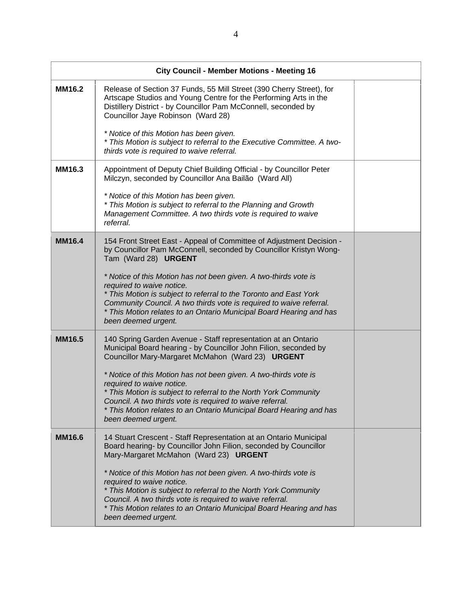|               | <b>City Council - Member Motions - Meeting 16</b>                                                                                                                                                          |
|---------------|------------------------------------------------------------------------------------------------------------------------------------------------------------------------------------------------------------|
| MM16.2        | Release of Section 37 Funds, 55 Mill Street (390 Cherry Street), for<br>Artscape Studios and Young Centre for the Performing Arts in the<br>Distillery District - by Councillor Pam McConnell, seconded by |
|               | Councillor Jaye Robinson (Ward 28)                                                                                                                                                                         |
|               | * Notice of this Motion has been given.<br>* This Motion is subject to referral to the Executive Committee. A two-                                                                                         |
|               | thirds vote is required to waive referral.                                                                                                                                                                 |
| MM16.3        | Appointment of Deputy Chief Building Official - by Councillor Peter<br>Milczyn, seconded by Councillor Ana Bailão (Ward All)                                                                               |
|               | * Notice of this Motion has been given.                                                                                                                                                                    |
|               | * This Motion is subject to referral to the Planning and Growth<br>Management Committee. A two thirds vote is required to waive                                                                            |
|               | referral.                                                                                                                                                                                                  |
| <b>MM16.4</b> | 154 Front Street East - Appeal of Committee of Adjustment Decision -<br>by Councillor Pam McConnell, seconded by Councillor Kristyn Wong-<br>Tam (Ward 28) URGENT                                          |
|               | * Notice of this Motion has not been given. A two-thirds vote is                                                                                                                                           |
|               | required to waive notice.                                                                                                                                                                                  |
|               | * This Motion is subject to referral to the Toronto and East York<br>Community Council. A two thirds vote is required to waive referral.                                                                   |
|               | * This Motion relates to an Ontario Municipal Board Hearing and has                                                                                                                                        |
|               | been deemed urgent.                                                                                                                                                                                        |
| <b>MM16.5</b> | 140 Spring Garden Avenue - Staff representation at an Ontario<br>Municipal Board hearing - by Councillor John Filion, seconded by                                                                          |
|               | Councillor Mary-Margaret McMahon (Ward 23) URGENT                                                                                                                                                          |
|               | * Notice of this Motion has not been given. A two-thirds vote is                                                                                                                                           |
|               | required to waive notice.<br>* This Motion is subject to referral to the North York Community                                                                                                              |
|               | Council. A two thirds vote is required to waive referral.<br>* This Motion relates to an Ontario Municipal Board Hearing and has                                                                           |
|               | been deemed urgent.                                                                                                                                                                                        |
| <b>MM16.6</b> | 14 Stuart Crescent - Staff Representation at an Ontario Municipal                                                                                                                                          |
|               | Board hearing- by Councillor John Filion, seconded by Councillor<br>Mary-Margaret McMahon (Ward 23) URGENT                                                                                                 |
|               | * Notice of this Motion has not been given. A two-thirds vote is                                                                                                                                           |
|               | required to waive notice.<br>* This Motion is subject to referral to the North York Community                                                                                                              |
|               | Council. A two thirds vote is required to waive referral.<br>* This Motion relates to an Ontario Municipal Board Hearing and has                                                                           |
|               | been deemed urgent.                                                                                                                                                                                        |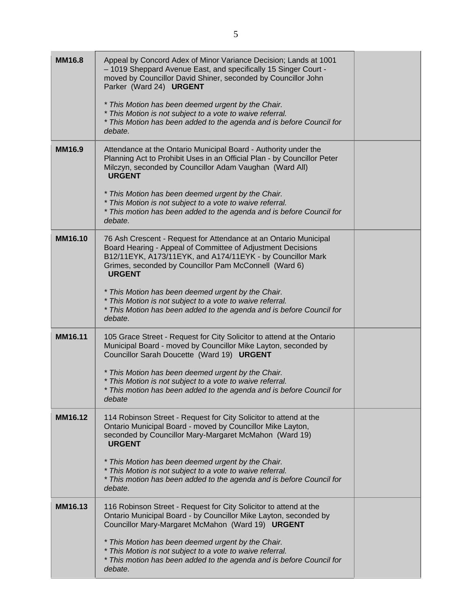| <b>MM16.8</b>  | Appeal by Concord Adex of Minor Variance Decision; Lands at 1001<br>- 1019 Sheppard Avenue East, and specifically 15 Singer Court -<br>moved by Councillor David Shiner, seconded by Councillor John<br>Parker (Ward 24) URGENT<br>* This Motion has been deemed urgent by the Chair.<br>* This Motion is not subject to a vote to waive referral. |  |
|----------------|----------------------------------------------------------------------------------------------------------------------------------------------------------------------------------------------------------------------------------------------------------------------------------------------------------------------------------------------------|--|
|                | * This Motion has been added to the agenda and is before Council for<br>debate.                                                                                                                                                                                                                                                                    |  |
| <b>MM16.9</b>  | Attendance at the Ontario Municipal Board - Authority under the<br>Planning Act to Prohibit Uses in an Official Plan - by Councillor Peter<br>Milczyn, seconded by Councillor Adam Vaughan (Ward All)<br><b>URGENT</b>                                                                                                                             |  |
|                | * This Motion has been deemed urgent by the Chair.<br>* This Motion is not subject to a vote to waive referral.<br>* This motion has been added to the agenda and is before Council for<br>debate.                                                                                                                                                 |  |
| <b>MM16.10</b> | 76 Ash Crescent - Request for Attendance at an Ontario Municipal<br>Board Hearing - Appeal of Committee of Adjustment Decisions<br>B12/11EYK, A173/11EYK, and A174/11EYK - by Councillor Mark<br>Grimes, seconded by Councillor Pam McConnell (Ward 6)<br><b>URGENT</b>                                                                            |  |
|                | * This Motion has been deemed urgent by the Chair.<br>* This Motion is not subject to a vote to waive referral.<br>* This Motion has been added to the agenda and is before Council for<br>debate.                                                                                                                                                 |  |
| MM16.11        | 105 Grace Street - Request for City Solicitor to attend at the Ontario<br>Municipal Board - moved by Councillor Mike Layton, seconded by<br>Councillor Sarah Doucette (Ward 19) URGENT                                                                                                                                                             |  |
|                | * This Motion has been deemed urgent by the Chair.<br>* This Motion is not subject to a vote to waive referral.<br>* This motion has been added to the agenda and is before Council for<br>debate                                                                                                                                                  |  |
| MM16.12        | 114 Robinson Street - Request for City Solicitor to attend at the<br>Ontario Municipal Board - moved by Councillor Mike Layton,<br>seconded by Councillor Mary-Margaret McMahon (Ward 19)<br><b>URGENT</b>                                                                                                                                         |  |
|                | * This Motion has been deemed urgent by the Chair.<br>* This Motion is not subject to a vote to waive referral.<br>* This motion has been added to the agenda and is before Council for<br>debate.                                                                                                                                                 |  |
| MM16.13        | 116 Robinson Street - Request for City Solicitor to attend at the<br>Ontario Municipal Board - by Councillor Mike Layton, seconded by<br>Councillor Mary-Margaret McMahon (Ward 19) URGENT                                                                                                                                                         |  |
|                | * This Motion has been deemed urgent by the Chair.<br>* This Motion is not subject to a vote to waive referral.<br>* This motion has been added to the agenda and is before Council for<br>debate.                                                                                                                                                 |  |